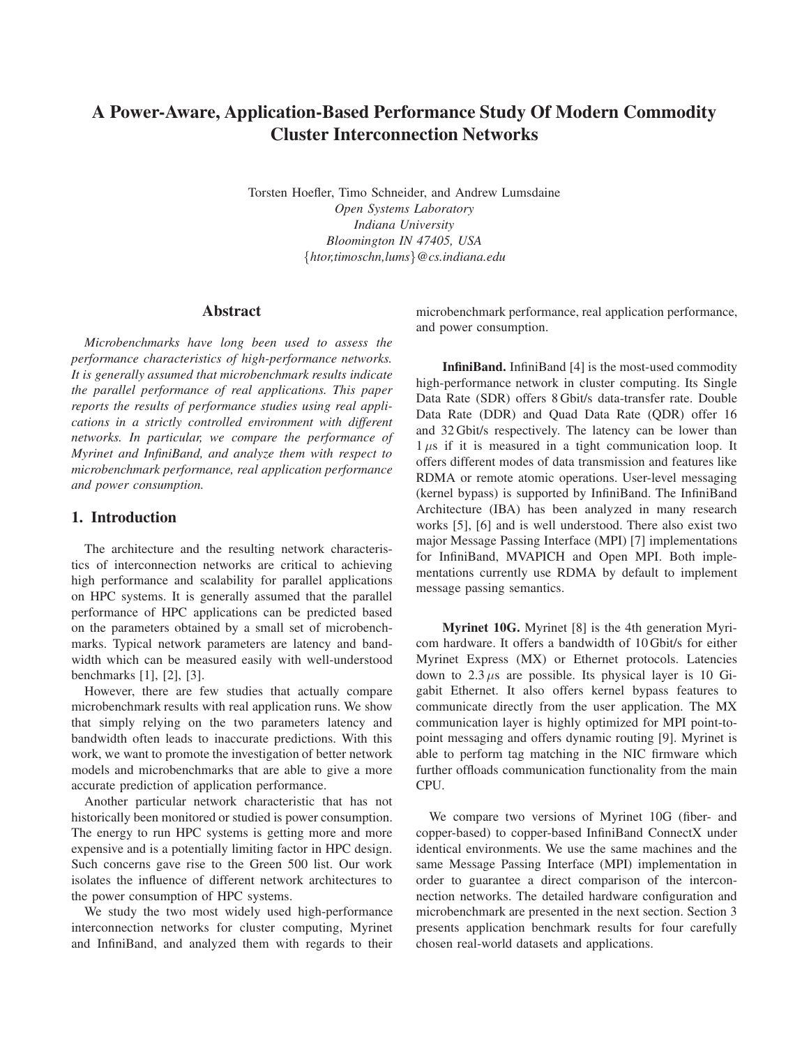# **A Power-Aware, Application-Based Performance Study Of Modern Commodity Cluster Interconnection Networks**

Torsten Hoefler, Timo Schneider, and Andrew Lumsdaine *Open Systems Laboratory Indiana University Bloomington IN 47405, USA* {*htor,timoschn,lums*}*@cs.indiana.edu*

#### **Abstract**

*Microbenchmarks have long been used to assess the performance characteristics of high-performance networks. It is generally assumed that microbenchmark results indicate the parallel performance of real applications. This paper reports the results of performance studies using real applications in a strictly controlled environment with different networks. In particular, we compare the performance of Myrinet and InfiniBand, and analyze them with respect to microbenchmark performance, real application performance and power consumption.*

## **1. Introduction**

The architecture and the resulting network characteristics of interconnection networks are critical to achieving high performance and scalability for parallel applications on HPC systems. It is generally assumed that the parallel performance of HPC applications can be predicted based on the parameters obtained by a small set of microbenchmarks. Typical network parameters are latency and bandwidth which can be measured easily with well-understood benchmarks [1], [2], [3].

However, there are few studies that actually compare microbenchmark results with real application runs. We show that simply relying on the two parameters latency and bandwidth often leads to inaccurate predictions. With this work, we want to promote the investigation of better network models and microbenchmarks that are able to give a more accurate prediction of application performance.

Another particular network characteristic that has not historically been monitored or studied is power consumption. The energy to run HPC systems is getting more and more expensive and is a potentially limiting factor in HPC design. Such concerns gave rise to the Green 500 list. Our work isolates the influence of different network architectures to the power consumption of HPC systems.

We study the two most widely used high-performance interconnection networks for cluster computing, Myrinet and InfiniBand, and analyzed them with regards to their microbenchmark performance, real application performance, and power consumption.

**InfiniBand.** InfiniBand [4] is the most-used commodity high-performance network in cluster computing. Its Single Data Rate (SDR) offers 8 Gbit/s data-transfer rate. Double Data Rate (DDR) and Quad Data Rate (QDR) offer 16 and 32 Gbit/s respectively. The latency can be lower than  $1 \mu s$  if it is measured in a tight communication loop. It offers different modes of data transmission and features like RDMA or remote atomic operations. User-level messaging (kernel bypass) is supported by InfiniBand. The InfiniBand Architecture (IBA) has been analyzed in many research works [5], [6] and is well understood. There also exist two major Message Passing Interface (MPI) [7] implementations for InfiniBand, MVAPICH and Open MPI. Both implementations currently use RDMA by default to implement message passing semantics.

**Myrinet 10G.** Myrinet [8] is the 4th generation Myricom hardware. It offers a bandwidth of 10 Gbit/s for either Myrinet Express (MX) or Ethernet protocols. Latencies down to  $2.3 \mu s$  are possible. Its physical layer is 10 Gigabit Ethernet. It also offers kernel bypass features to communicate directly from the user application. The MX communication layer is highly optimized for MPI point-topoint messaging and offers dynamic routing [9]. Myrinet is able to perform tag matching in the NIC firmware which further offloads communication functionality from the main CPU.

We compare two versions of Myrinet 10G (fiber- and copper-based) to copper-based InfiniBand ConnectX under identical environments. We use the same machines and the same Message Passing Interface (MPI) implementation in order to guarantee a direct comparison of the interconnection networks. The detailed hardware configuration and microbenchmark are presented in the next section. Section 3 presents application benchmark results for four carefully chosen real-world datasets and applications.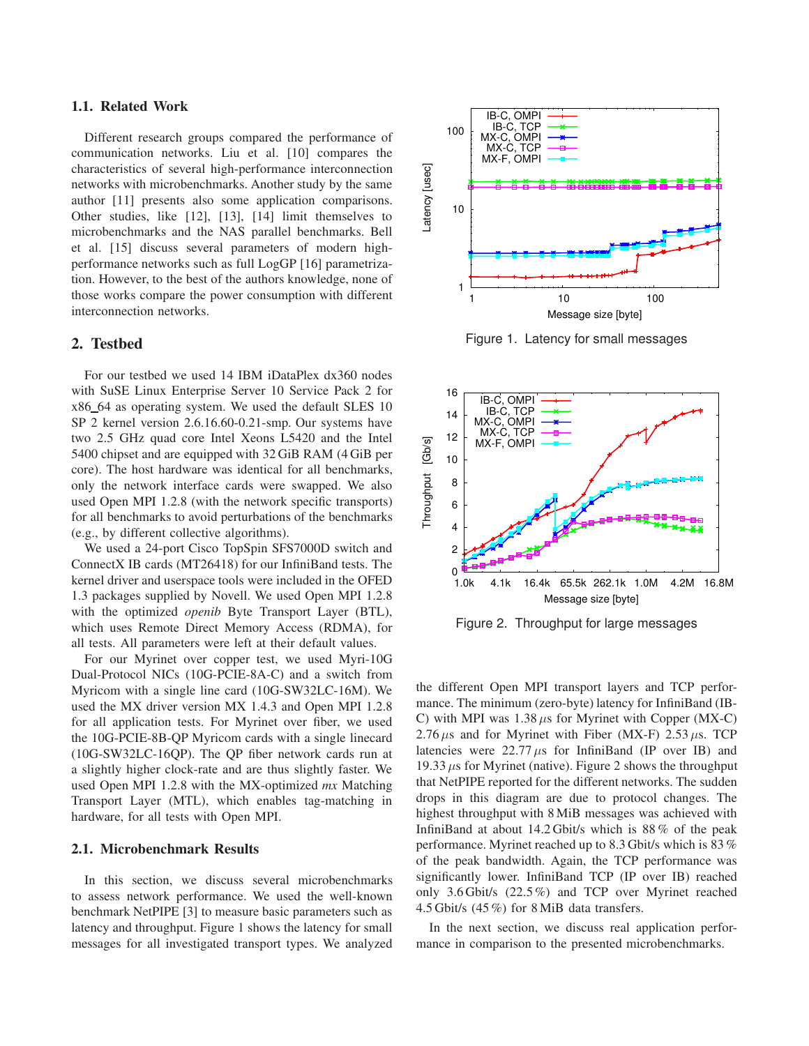#### **1.1. Related Work**

Different research groups compared the performance of communication networks. Liu et al. [10] compares the characteristics of several high-performance interconnection networks with microbenchmarks. Another study by the same author [11] presents also some application comparisons. Other studies, like [12], [13], [14] limit themselves to microbenchmarks and the NAS parallel benchmarks. Bell et al. [15] discuss several parameters of modern highperformance networks such as full LogGP [16] parametrization. However, to the best of the authors knowledge, none of those works compare the power consumption with different interconnection networks.

#### **2. Testbed**

For our testbed we used 14 IBM iDataPlex dx360 nodes with SuSE Linux Enterprise Server 10 Service Pack 2 for x86 64 as operating system. We used the default SLES 10 SP 2 kernel version 2.6.16.60-0.21-smp. Our systems have two 2.5 GHz quad core Intel Xeons L5420 and the Intel 5400 chipset and are equipped with 32 GiB RAM (4 GiB per core). The host hardware was identical for all benchmarks, only the network interface cards were swapped. We also used Open MPI 1.2.8 (with the network specific transports) for all benchmarks to avoid perturbations of the benchmarks (e.g., by different collective algorithms).

We used a 24-port Cisco TopSpin SFS7000D switch and ConnectX IB cards (MT26418) for our InfiniBand tests. The kernel driver and userspace tools were included in the OFED 1.3 packages supplied by Novell. We used Open MPI 1.2.8 with the optimized *openib* Byte Transport Layer (BTL), which uses Remote Direct Memory Access (RDMA), for all tests. All parameters were left at their default values.

For our Myrinet over copper test, we used Myri-10G Dual-Protocol NICs (10G-PCIE-8A-C) and a switch from Myricom with a single line card (10G-SW32LC-16M). We used the MX driver version MX 1.4.3 and Open MPI 1.2.8 for all application tests. For Myrinet over fiber, we used the 10G-PCIE-8B-QP Myricom cards with a single linecard (10G-SW32LC-16QP). The QP fiber network cards run at a slightly higher clock-rate and are thus slightly faster. We used Open MPI 1.2.8 with the MX-optimized *mx* Matching Transport Layer (MTL), which enables tag-matching in hardware, for all tests with Open MPI.

#### **2.1. Microbenchmark Results**

In this section, we discuss several microbenchmarks to assess network performance. We used the well-known benchmark NetPIPE [3] to measure basic parameters such as latency and throughput. Figure 1 shows the latency for small messages for all investigated transport types. We analyzed



Figure 1. Latency for small messages



Figure 2. Throughput for large messages

the different Open MPI transport layers and TCP performance. The minimum (zero-byte) latency for InfiniBand (IB-C) with MPI was  $1.38 \mu s$  for Myrinet with Copper (MX-C) 2.76  $\mu$ s and for Myrinet with Fiber (MX-F) 2.53  $\mu$ s. TCP latencies were  $22.77 \mu s$  for InfiniBand (IP over IB) and 19.33  $\mu$ s for Myrinet (native). Figure 2 shows the throughput that NetPIPE reported for the different networks. The sudden drops in this diagram are due to protocol changes. The highest throughput with 8 MiB messages was achieved with InfiniBand at about 14.2 Gbit/s which is 88 % of the peak performance. Myrinet reached up to 8.3 Gbit/s which is 83 % of the peak bandwidth. Again, the TCP performance was significantly lower. InfiniBand TCP (IP over IB) reached only 3.6 Gbit/s (22.5%) and TCP over Myrinet reached 4.5 Gbit/s (45 %) for 8 MiB data transfers.

In the next section, we discuss real application performance in comparison to the presented microbenchmarks.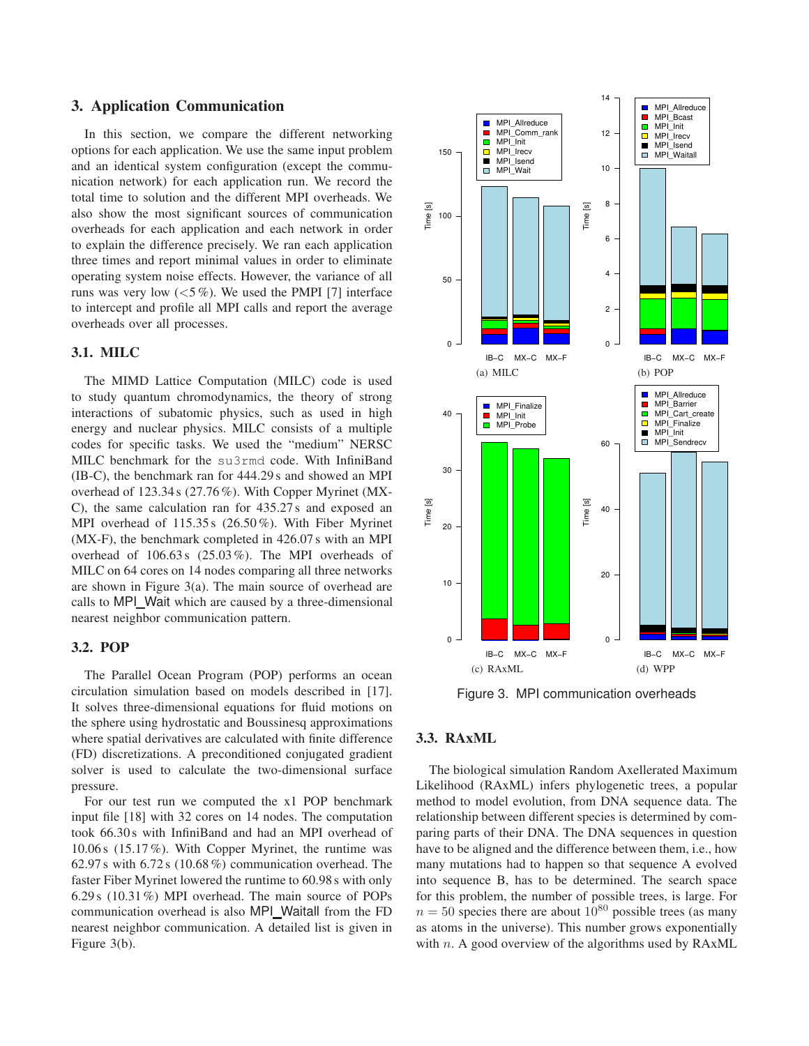## **3. Application Communication**

In this section, we compare the different networking options for each application. We use the same input problem and an identical system configuration (except the communication network) for each application run. We record the total time to solution and the different MPI overheads. We also show the most significant sources of communication overheads for each application and each network in order to explain the difference precisely. We ran each application three times and report minimal values in order to eliminate operating system noise effects. However, the variance of all runs was very low  $\left( \langle 5\% \rangle \right)$ . We used the PMPI [7] interface to intercept and profile all MPI calls and report the average overheads over all processes.

# **3.1. MILC**

The MIMD Lattice Computation (MILC) code is used to study quantum chromodynamics, the theory of strong interactions of subatomic physics, such as used in high energy and nuclear physics. MILC consists of a multiple codes for specific tasks. We used the "medium" NERSC MILC benchmark for the su3rmd code. With InfiniBand (IB-C), the benchmark ran for 444.29 s and showed an MPI overhead of 123.34 s (27.76 %). With Copper Myrinet (MX-C), the same calculation ran for 435.27 s and exposed an MPI overhead of 115.35 s (26.50 %). With Fiber Myrinet (MX-F), the benchmark completed in 426.07 s with an MPI overhead of  $106.63 s$  (25.03%). The MPI overheads of MILC on 64 cores on 14 nodes comparing all three networks are shown in Figure 3(a). The main source of overhead are calls to MPI\_Wait which are caused by a three-dimensional nearest neighbor communication pattern.

## **3.2. POP**

The Parallel Ocean Program (POP) performs an ocean circulation simulation based on models described in [17]. It solves three-dimensional equations for fluid motions on the sphere using hydrostatic and Boussinesq approximations where spatial derivatives are calculated with finite difference (FD) discretizations. A preconditioned conjugated gradient solver is used to calculate the two-dimensional surface pressure.

For our test run we computed the x1 POP benchmark input file [18] with 32 cores on 14 nodes. The computation took 66.30 s with InfiniBand and had an MPI overhead of 10.06 s (15.17 %). With Copper Myrinet, the runtime was 62.97 s with 6.72 s (10.68%) communication overhead. The faster Fiber Myrinet lowered the runtime to 60.98 s with only 6.29 s (10.31%) MPI overhead. The main source of POPs communication overhead is also MPI Waitall from the FD nearest neighbor communication. A detailed list is given in Figure 3(b).



Figure 3. MPI communication overheads

#### **3.3. RAxML**

The biological simulation Random Axellerated Maximum Likelihood (RAxML) infers phylogenetic trees, a popular method to model evolution, from DNA sequence data. The relationship between different species is determined by comparing parts of their DNA. The DNA sequences in question have to be aligned and the difference between them, i.e., how many mutations had to happen so that sequence A evolved into sequence B, has to be determined. The search space for this problem, the number of possible trees, is large. For  $n = 50$  species there are about  $10^{80}$  possible trees (as many as atoms in the universe). This number grows exponentially with  $n$ . A good overview of the algorithms used by RAxML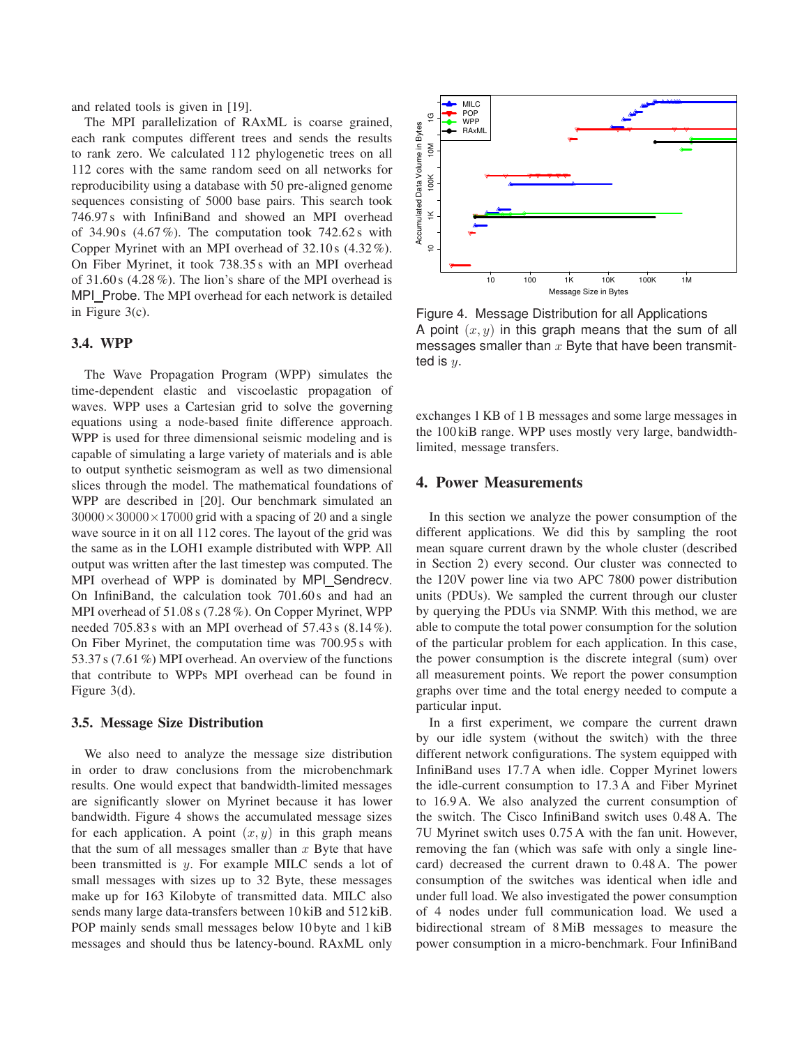and related tools is given in [19].

The MPI parallelization of RAxML is coarse grained, each rank computes different trees and sends the results to rank zero. We calculated 112 phylogenetic trees on all 112 cores with the same random seed on all networks for reproducibility using a database with 50 pre-aligned genome sequences consisting of 5000 base pairs. This search took 746.97 s with InfiniBand and showed an MPI overhead of  $34.90 s$  (4.67%). The computation took 742.62s with Copper Myrinet with an MPI overhead of 32.10 s (4.32%). On Fiber Myrinet, it took 738.35 s with an MPI overhead of 31.60 s (4.28 %). The lion's share of the MPI overhead is MPI Probe. The MPI overhead for each network is detailed in Figure 3(c).

#### **3.4. WPP**

The Wave Propagation Program (WPP) simulates the time-dependent elastic and viscoelastic propagation of waves. WPP uses a Cartesian grid to solve the governing equations using a node-based finite difference approach. WPP is used for three dimensional seismic modeling and is capable of simulating a large variety of materials and is able to output synthetic seismogram as well as two dimensional slices through the model. The mathematical foundations of WPP are described in [20]. Our benchmark simulated an  $30000\times30000\times17000$  grid with a spacing of 20 and a single wave source in it on all 112 cores. The layout of the grid was the same as in the LOH1 example distributed with WPP. All output was written after the last timestep was computed. The MPI overhead of WPP is dominated by MPI\_Sendrecv. On InfiniBand, the calculation took 701.60s and had an MPI overhead of 51.08 s (7.28%). On Copper Myrinet, WPP needed 705.83 s with an MPI overhead of 57.43 s (8.14%). On Fiber Myrinet, the computation time was 700.95 s with 53.37 s (7.61 %) MPI overhead. An overview of the functions that contribute to WPPs MPI overhead can be found in Figure 3(d).

#### **3.5. Message Size Distribution**

We also need to analyze the message size distribution in order to draw conclusions from the microbenchmark results. One would expect that bandwidth-limited messages are significantly slower on Myrinet because it has lower bandwidth. Figure 4 shows the accumulated message sizes for each application. A point  $(x, y)$  in this graph means that the sum of all messages smaller than  $x$  Byte that have been transmitted is y. For example MILC sends a lot of small messages with sizes up to 32 Byte, these messages make up for 163 Kilobyte of transmitted data. MILC also sends many large data-transfers between 10 kiB and 512 kiB. POP mainly sends small messages below 10 byte and 1 kiB messages and should thus be latency-bound. RAxML only



Figure 4. Message Distribution for all Applications A point  $(x, y)$  in this graph means that the sum of all messages smaller than  $x$  Byte that have been transmitted is  $y$ .

exchanges 1 KB of 1 B messages and some large messages in the 100 kiB range. WPP uses mostly very large, bandwidthlimited, message transfers.

# **4. Power Measurements**

In this section we analyze the power consumption of the different applications. We did this by sampling the root mean square current drawn by the whole cluster (described in Section 2) every second. Our cluster was connected to the 120V power line via two APC 7800 power distribution units (PDUs). We sampled the current through our cluster by querying the PDUs via SNMP. With this method, we are able to compute the total power consumption for the solution of the particular problem for each application. In this case, the power consumption is the discrete integral (sum) over all measurement points. We report the power consumption graphs over time and the total energy needed to compute a particular input.

In a first experiment, we compare the current drawn by our idle system (without the switch) with the three different network configurations. The system equipped with InfiniBand uses 17.7 A when idle. Copper Myrinet lowers the idle-current consumption to 17.3 A and Fiber Myrinet to 16.9 A. We also analyzed the current consumption of the switch. The Cisco InfiniBand switch uses 0.48 A. The 7U Myrinet switch uses 0.75 A with the fan unit. However, removing the fan (which was safe with only a single linecard) decreased the current drawn to 0.48 A. The power consumption of the switches was identical when idle and under full load. We also investigated the power consumption of 4 nodes under full communication load. We used a bidirectional stream of 8 MiB messages to measure the power consumption in a micro-benchmark. Four InfiniBand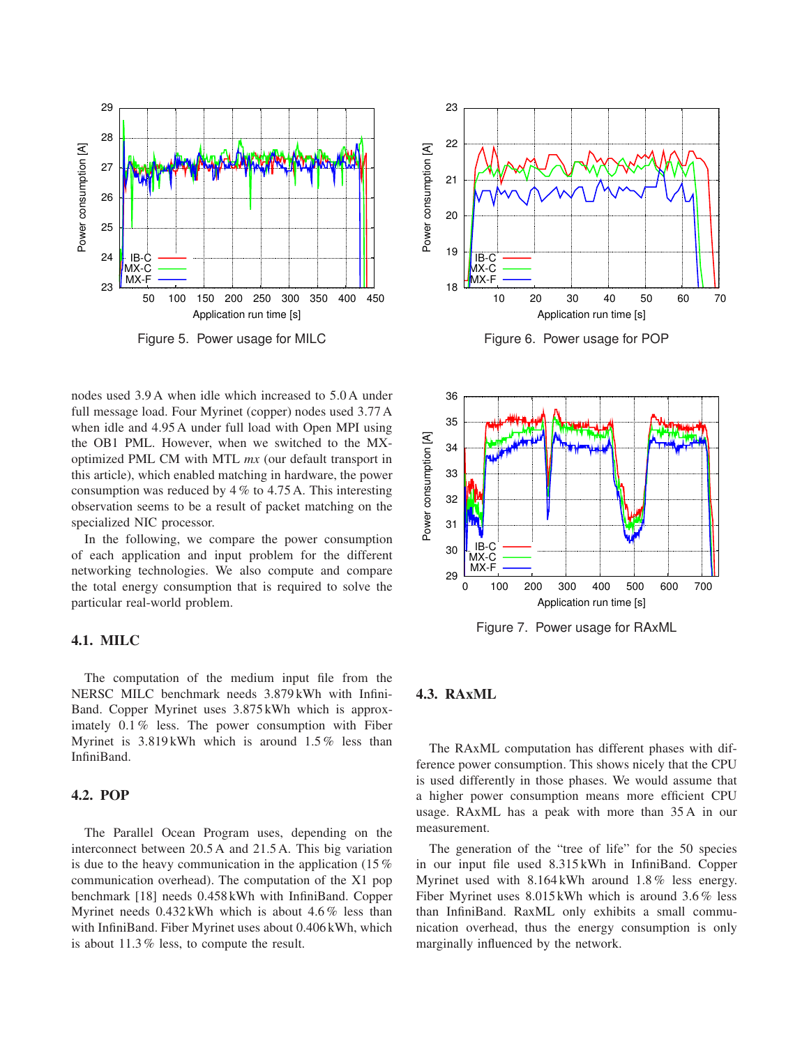

Figure 5. Power usage for MILC

nodes used 3.9 A when idle which increased to 5.0 A under full message load. Four Myrinet (copper) nodes used 3.77 A when idle and 4.95 A under full load with Open MPI using the OB1 PML. However, when we switched to the MXoptimized PML CM with MTL *mx* (our default transport in this article), which enabled matching in hardware, the power consumption was reduced by  $4\%$  to  $4.75$  A. This interesting observation seems to be a result of packet matching on the specialized NIC processor.

In the following, we compare the power consumption of each application and input problem for the different networking technologies. We also compute and compare the total energy consumption that is required to solve the particular real-world problem.

## **4.1. MILC**

The computation of the medium input file from the NERSC MILC benchmark needs 3.879 kWh with Infini-Band. Copper Myrinet uses 3.875 kWh which is approximately 0.1 % less. The power consumption with Fiber Myrinet is 3.819 kWh which is around 1.5 % less than InfiniBand.

## **4.2. POP**

The Parallel Ocean Program uses, depending on the interconnect between 20.5 A and 21.5 A. This big variation is due to the heavy communication in the application (15 % communication overhead). The computation of the X1 pop benchmark [18] needs 0.458 kWh with InfiniBand. Copper Myrinet needs 0.432 kWh which is about 4.6 % less than with InfiniBand. Fiber Myrinet uses about 0.406 kWh, which is about 11.3 % less, to compute the result.



Figure 6. Power usage for POP



Figure 7. Power usage for RAxML

# **4.3. RAxML**

The RAxML computation has different phases with difference power consumption. This shows nicely that the CPU is used differently in those phases. We would assume that a higher power consumption means more efficient CPU usage. RAxML has a peak with more than 35 A in our measurement.

The generation of the "tree of life" for the 50 species in our input file used 8.315 kWh in InfiniBand. Copper Myrinet used with 8.164 kWh around 1.8 % less energy. Fiber Myrinet uses 8.015 kWh which is around 3.6 % less than InfiniBand. RaxML only exhibits a small communication overhead, thus the energy consumption is only marginally influenced by the network.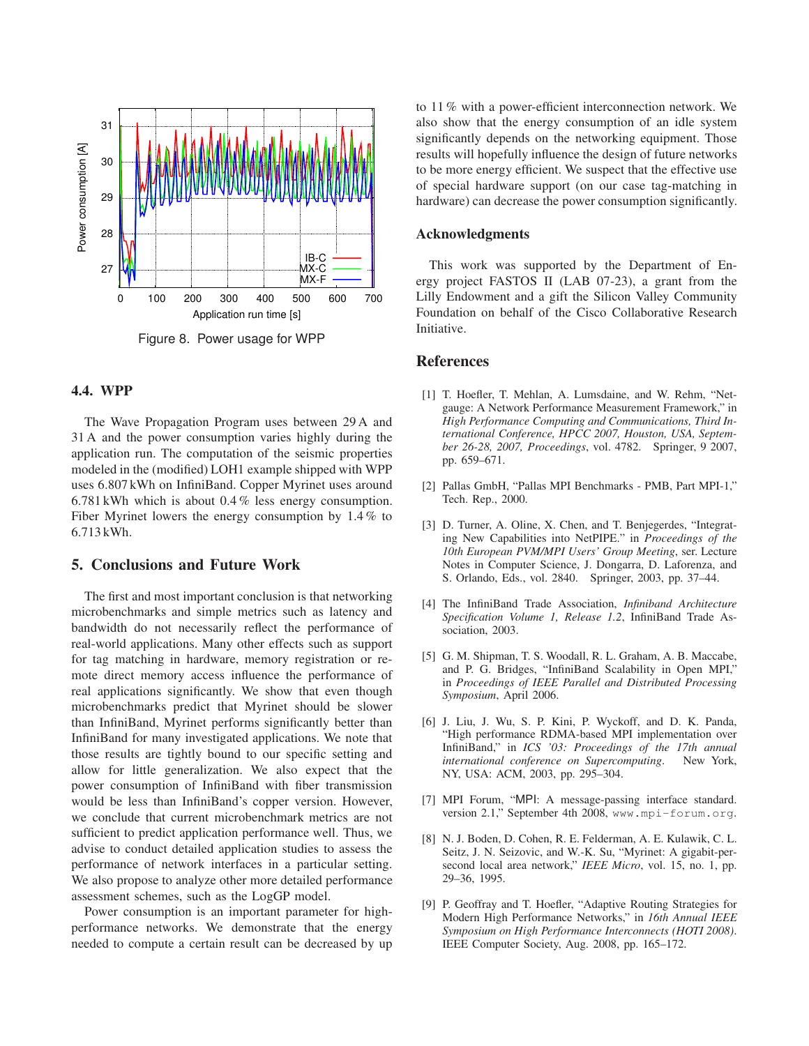

Figure 8. Power usage for WPP

## **4.4. WPP**

The Wave Propagation Program uses between 29 A and 31 A and the power consumption varies highly during the application run. The computation of the seismic properties modeled in the (modified) LOH1 example shipped with WPP uses 6.807 kWh on InfiniBand. Copper Myrinet uses around 6.781 kWh which is about 0.4 % less energy consumption. Fiber Myrinet lowers the energy consumption by 1.4 % to 6.713 kWh.

#### **5. Conclusions and Future Work**

The first and most important conclusion is that networking microbenchmarks and simple metrics such as latency and bandwidth do not necessarily reflect the performance of real-world applications. Many other effects such as support for tag matching in hardware, memory registration or remote direct memory access influence the performance of real applications significantly. We show that even though microbenchmarks predict that Myrinet should be slower than InfiniBand, Myrinet performs significantly better than InfiniBand for many investigated applications. We note that those results are tightly bound to our specific setting and allow for little generalization. We also expect that the power consumption of InfiniBand with fiber transmission would be less than InfiniBand's copper version. However, we conclude that current microbenchmark metrics are not sufficient to predict application performance well. Thus, we advise to conduct detailed application studies to assess the performance of network interfaces in a particular setting. We also propose to analyze other more detailed performance assessment schemes, such as the LogGP model.

Power consumption is an important parameter for highperformance networks. We demonstrate that the energy needed to compute a certain result can be decreased by up to 11 % with a power-efficient interconnection network. We also show that the energy consumption of an idle system significantly depends on the networking equipment. Those results will hopefully influence the design of future networks to be more energy efficient. We suspect that the effective use of special hardware support (on our case tag-matching in hardware) can decrease the power consumption significantly.

#### **Acknowledgments**

This work was supported by the Department of Energy project FASTOS II (LAB 07-23), a grant from the Lilly Endowment and a gift the Silicon Valley Community Foundation on behalf of the Cisco Collaborative Research Initiative.

#### **References**

- [1] T. Hoefler, T. Mehlan, A. Lumsdaine, and W. Rehm, "Netgauge: A Network Performance Measurement Framework," in *High Performance Computing and Communications, Third International Conference, HPCC 2007, Houston, USA, September 26-28, 2007, Proceedings*, vol. 4782. Springer, 9 2007, pp. 659–671.
- [2] Pallas GmbH, "Pallas MPI Benchmarks PMB, Part MPI-1," Tech. Rep., 2000.
- [3] D. Turner, A. Oline, X. Chen, and T. Benjegerdes, "Integrating New Capabilities into NetPIPE." in *Proceedings of the 10th European PVM/MPI Users' Group Meeting*, ser. Lecture Notes in Computer Science, J. Dongarra, D. Laforenza, and S. Orlando, Eds., vol. 2840. Springer, 2003, pp. 37–44.
- [4] The InfiniBand Trade Association, *Infiniband Architecture Specification Volume 1, Release 1.2*, InfiniBand Trade Association, 2003.
- [5] G. M. Shipman, T. S. Woodall, R. L. Graham, A. B. Maccabe, and P. G. Bridges, "InfiniBand Scalability in Open MPI," in *Proceedings of IEEE Parallel and Distributed Processing Symposium*, April 2006.
- [6] J. Liu, J. Wu, S. P. Kini, P. Wyckoff, and D. K. Panda, "High performance RDMA-based MPI implementation over InfiniBand," in *ICS '03: Proceedings of the 17th annual international conference on Supercomputing.* NY, USA: ACM, 2003, pp. 295–304.
- [7] MPI Forum, "MPI: A message-passing interface standard. version 2.1," September 4th 2008, www.mpi-forum.org.
- [8] N. J. Boden, D. Cohen, R. E. Felderman, A. E. Kulawik, C. L. Seitz, J. N. Seizovic, and W.-K. Su, "Myrinet: A gigabit-persecond local area network," *IEEE Micro*, vol. 15, no. 1, pp. 29–36, 1995.
- [9] P. Geoffray and T. Hoefler, "Adaptive Routing Strategies for Modern High Performance Networks," in *16th Annual IEEE Symposium on High Performance Interconnects (HOTI 2008)*. IEEE Computer Society, Aug. 2008, pp. 165–172.